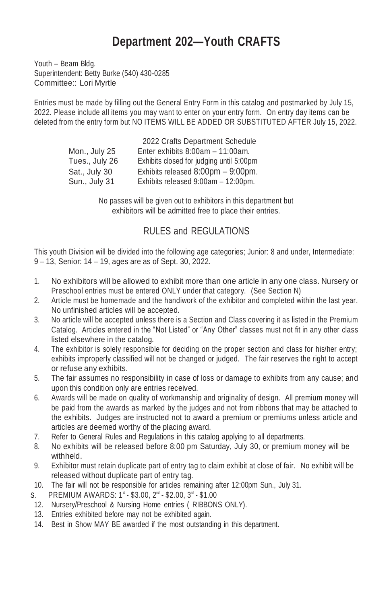## **Department 202—Youth CRAFTS**

Youth – Beam Bldg. Superintendent: Betty Burke (540) 430-0285 Committee:: Lori Myrtle

Entries must be made by filling out the General Entry Form in this catalog and postmarked by July 15, 2022. Please include all items you may want to enter on your entry form. On entry day items can be deleted from the entry form but NO ITEMS WILL BE ADDED OR SUBSTITUTED AFTER July 15, 2022.

|                | 2022 Crafts Department Schedule          |
|----------------|------------------------------------------|
| Mon., July 25  | Enter exhibits $8:00am - 11:00am$ .      |
| Tues., July 26 | Exhibits closed for judging until 5:00pm |
| Sat., July 30  | Exhibits released 8:00pm - 9:00pm.       |
| Sun., July 31  | Exhibits released 9:00am - 12:00pm.      |

No passes will be given out to exhibitors in this department but exhibitors will be admitted free to place their entries.

## RULES and REGULATIONS

This youth Division will be divided into the following age categories; Junior: 8 and under, Intermediate: 9 – 13, Senior: 14 – 19, ages are as of Sept. 30, 2022.

- 1. No exhibitors will be allowed to exhibit more than one article in any one class. Nursery or Preschool entries must be entered ONLY under that category. (See Section N)
- 2. Article must be homemade and the handiwork of the exhibitor and completed within the last year. No unfinished articles will be accepted.
- 3. No article will be accepted unless there is a Section and Class covering it as listed in the Premium Catalog. Articles entered in the "Not Listed" or "Any Other" classes must not fit in any other class listed elsewhere in the catalog.
- 4. The exhibitor is solely responsible for deciding on the proper section and class for his/her entry; exhibits improperly classified will not be changed or judged. The fair reserves the right to accept or refuse any exhibits.
- 5. The fair assumes no responsibility in case of loss or damage to exhibits from any cause; and upon this condition only are entries received.
- 6. Awards will be made on quality of workmanship and originality of design. All premium money will be paid from the awards as marked by the judges and not from ribbons that may be attached to the exhibits. Judges are instructed not to award a premium or premiums unless article and articles are deemed worthy of the placing award.
- 7. Refer to General Rules and Regulations in this catalog applying to all departments.
- 8. No exhibits will be released before 8:00 pm Saturday, July 30, or premium money will be withheld.
- 9. Exhibitor must retain duplicate part of entry tag to claim exhibit at close of fair. No exhibit will be released without duplicate part of entry tag.
- 10. The fair will not be responsible for articles remaining after 12:00pm Sun., July 31.
- S. PREMIUM AWARDS:  $1^{\circ}$  \$3.00,  $2^{\circ}$  \$2.00,  $3^{\circ}$  \$1.00
- 12. Nursery/Preschool & Nursing Home entries ( RIBBONS ONLY).
- 13. Entries exhibited before may not be exhibited again.
- 14. Best in Show MAY BE awarded if the most outstanding in this department.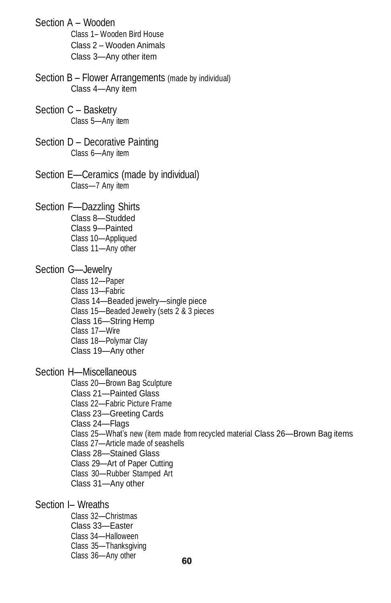| Section A - Wooden<br>Class 1- Wooden Bird House<br>Class 2 - Wooden Animals<br>Class 3-Any other item                                                                                                                                                                                                                                                                                                  |
|---------------------------------------------------------------------------------------------------------------------------------------------------------------------------------------------------------------------------------------------------------------------------------------------------------------------------------------------------------------------------------------------------------|
| Section B - Flower Arrangements (made by individual)<br>Class 4-Any item                                                                                                                                                                                                                                                                                                                                |
| Section C - Basketry<br>Class 5-Any item                                                                                                                                                                                                                                                                                                                                                                |
| Section D - Decorative Painting<br>Class 6-Any item                                                                                                                                                                                                                                                                                                                                                     |
| Section E-Ceramics (made by individual)<br>Class-7 Any item                                                                                                                                                                                                                                                                                                                                             |
| Section F-Dazzling Shirts<br>Class 8-Studded<br>Class 9-Painted<br>Class 10-Appliqued<br>Class 11-Any other                                                                                                                                                                                                                                                                                             |
| Section G-Jewelry<br>Class 12-Paper<br>Class 13-Fabric<br>Class 14-Beaded jewelry-single piece<br>Class 15-Beaded Jewelry (sets 2 & 3 pieces<br>Class 16-String Hemp<br>Class 17-Wire<br>Class 18-Polymar Clay<br>Class 19-Any other                                                                                                                                                                    |
| Section H-Miscellaneous<br>Class 20-Brown Bag Sculpture<br>Class 21-Painted Glass<br>Class 22-Fabric Picture Frame<br>Class 23-Greeting Cards<br>Class 24—Flags<br>Class 25-What's new (item made from recycled material Class 26-Brown Bag items<br>Class 27-Article made of seashells<br>Class 28-Stained Glass<br>Class 29-Art of Paper Cutting<br>Class 30-Rubber Stamped Art<br>Class 31-Any other |
| Section I- Wreaths<br>Class 32-Christmas                                                                                                                                                                                                                                                                                                                                                                |

Class 33—Easter Class 34—Halloween Class 35—Thanksgiving Class 36—Any other  $\epsilon$